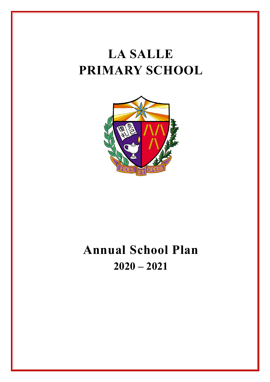# **LA SALLE PRIMARY SCHOOL**



# **Annual School Plan 2020 – 2021**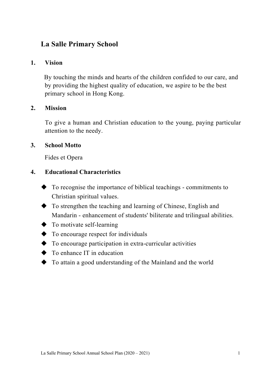### **La Salle Primary School**

### **1. Vision**

By touching the minds and hearts of the children confided to our care, and by providing the highest quality of education, we aspire to be the best primary school in Hong Kong.

### **2. Mission**

To give a human and Christian education to the young, paying particular attention to the needy.

### **3. School Motto**

Fides et Opera

#### **4. Educational Characteristics**

- $\blacklozenge$  To recognise the importance of biblical teachings commitments to Christian spiritual values.
- $\blacklozenge$  To strengthen the teaching and learning of Chinese, English and Mandarin - enhancement of students' biliterate and trilingual abilities.
- $\blacklozenge$  To motivate self-learning
- $\blacklozenge$  To encourage respect for individuals
- $\blacklozenge$  To encourage participation in extra-curricular activities
- $\blacklozenge$  To enhance IT in education
- $\blacklozenge$  To attain a good understanding of the Mainland and the world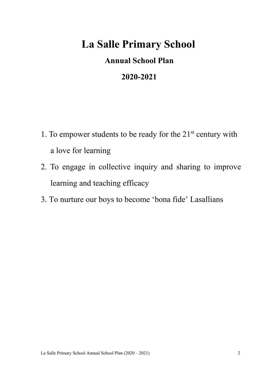## **La Salle Primary School**

## **Annual School Plan**

## **2020-2021**

- 1. To empower students to be ready for the  $21<sup>st</sup>$  century with a love for learning
- 2. To engage in collective inquiry and sharing to improve learning and teaching efficacy
- 3. To nurture our boys to become 'bona fide' Lasallians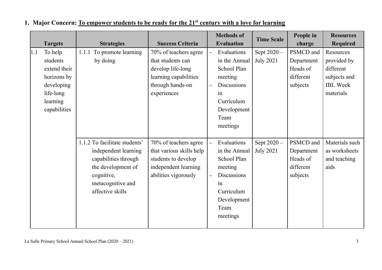|     |                                                                                                           |                                                                                                                                                            |                                                                                                                             |                                            | <b>Methods of</b>                                                                                                                   | <b>Time Scale</b>               | People in                                                    | <b>Resources</b>                                                                      |
|-----|-----------------------------------------------------------------------------------------------------------|------------------------------------------------------------------------------------------------------------------------------------------------------------|-----------------------------------------------------------------------------------------------------------------------------|--------------------------------------------|-------------------------------------------------------------------------------------------------------------------------------------|---------------------------------|--------------------------------------------------------------|---------------------------------------------------------------------------------------|
|     | <b>Targets</b>                                                                                            | <b>Strategies</b>                                                                                                                                          | <b>Success Criteria</b>                                                                                                     |                                            | <b>Evaluation</b>                                                                                                                   |                                 | charge                                                       | <b>Required</b>                                                                       |
| 1.1 | To help<br>students<br>extend their<br>horizons by<br>developing<br>life-long<br>learning<br>capabilities | To promote learning<br>1.1.1<br>by doing                                                                                                                   | 70% of teachers agree<br>that students can<br>develop life-long<br>learning capabilities<br>through hands-on<br>experiences | $\overline{a}$<br>$\overline{\phantom{0}}$ | Evaluations<br>in the Annual<br>School Plan<br>meeting<br><b>Discussions</b><br>in<br>Curriculum<br>Development<br>Team<br>meetings | Sept 2020 -<br><b>July 2021</b> | PSMCD and<br>Department<br>Heads of<br>different<br>subjects | Resources<br>provided by<br>different<br>subjects and<br><b>IBL</b> Week<br>materials |
|     |                                                                                                           | 1.1.2 To facilitate students'<br>independent learning<br>capabilities through<br>the development of<br>cognitive,<br>metacognitive and<br>affective skills | 70% of teachers agree<br>that various skills help<br>students to develop<br>independent learning<br>abilities vigorously    |                                            | Evaluations<br>in the Annual<br>School Plan<br>meeting<br><b>Discussions</b><br>in<br>Curriculum<br>Development<br>Team<br>meetings | Sept 2020 -<br><b>July 2021</b> | PSMCD and<br>Department<br>Heads of<br>different<br>subjects | Materials such<br>as worksheets<br>and teaching<br>aids                               |

### **1. Major Concern: To empower students to be ready for the 21st century with a love for learning**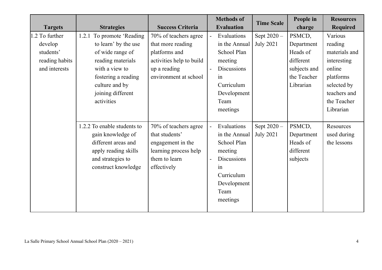|                |                             |                          |                          | <b>Methods of</b>  | <b>Time Scale</b> | People in    | <b>Resources</b> |
|----------------|-----------------------------|--------------------------|--------------------------|--------------------|-------------------|--------------|------------------|
| <b>Targets</b> | <b>Strategies</b>           | <b>Success Criteria</b>  |                          | <b>Evaluation</b>  |                   | charge       | <b>Required</b>  |
| 1.2 To further | 1.2.1 To promote 'Reading   | 70% of teachers agree    | $\overline{\phantom{a}}$ | Evaluations        | Sept 2020 -       | PSMCD,       | Various          |
| develop        | to learn' by the use        | that more reading        |                          | in the Annual      | <b>July 2021</b>  | Department   | reading          |
| students'      | of wide range of            | platforms and            |                          | School Plan        |                   | Heads of     | materials and    |
| reading habits | reading materials           | activities help to build |                          | meeting            |                   | different    | interesting      |
| and interests  | with a view to              | up a reading             |                          | <b>Discussions</b> |                   | subjects and | online           |
|                | fostering a reading         | environment at school    |                          | in                 |                   | the Teacher  | platforms        |
|                | culture and by              |                          |                          | Curriculum         |                   | Librarian    | selected by      |
|                | joining different           |                          |                          | Development        |                   |              | teachers and     |
|                | activities                  |                          |                          | Team               |                   |              | the Teacher      |
|                |                             |                          |                          | meetings           |                   |              | Librarian        |
|                |                             |                          |                          |                    |                   |              |                  |
|                | 1.2.2 To enable students to | 70% of teachers agree    | $\blacksquare$           | Evaluations        | Sept 2020 -       | PSMCD,       | Resources        |
|                | gain knowledge of           | that students'           |                          | in the Annual      | <b>July 2021</b>  | Department   | used during      |
|                | different areas and         | engagement in the        |                          | School Plan        |                   | Heads of     | the lessons      |
|                | apply reading skills        | learning process help    |                          | meeting            |                   | different    |                  |
|                | and strategies to           | them to learn            | $\overline{\phantom{a}}$ | <b>Discussions</b> |                   | subjects     |                  |
|                | construct knowledge         | effectively              |                          | in                 |                   |              |                  |
|                |                             |                          |                          | Curriculum         |                   |              |                  |
|                |                             |                          |                          | Development        |                   |              |                  |
|                |                             |                          |                          | Team               |                   |              |                  |
|                |                             |                          |                          | meetings           |                   |              |                  |
|                |                             |                          |                          |                    |                   |              |                  |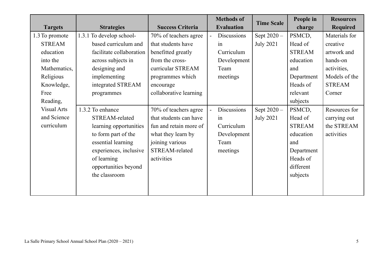| <b>Targets</b>                                                                                              | <b>Strategies</b>                                                                                                                                                                           | <b>Success Criteria</b>                                                                                                                                              | <b>Methods of</b><br><b>Evaluation</b>                                               | <b>Time Scale</b>               | People in<br>charge                                                                                                   | <b>Resources</b><br><b>Required</b>                                                                             |
|-------------------------------------------------------------------------------------------------------------|---------------------------------------------------------------------------------------------------------------------------------------------------------------------------------------------|----------------------------------------------------------------------------------------------------------------------------------------------------------------------|--------------------------------------------------------------------------------------|---------------------------------|-----------------------------------------------------------------------------------------------------------------------|-----------------------------------------------------------------------------------------------------------------|
| 1.3 To promote<br><b>STREAM</b><br>education<br>into the<br>Mathematics,<br>Religious<br>Knowledge,<br>Free | 1.3.1 To develop school-<br>based curriculum and<br>facilitate collaboration<br>across subjects in<br>designing and<br>implementing<br>integrated STREAM<br>programmes                      | 70% of teachers agree<br>that students have<br>benefitted greatly<br>from the cross-<br>curricular STREAM<br>programmes which<br>encourage<br>collaborative learning | Discussions<br>$\blacksquare$<br>in<br>Curriculum<br>Development<br>Team<br>meetings | Sept 2020 -<br><b>July 2021</b> | PSMCD,<br>Head of<br><b>STREAM</b><br>education<br>and<br>Department<br>Heads of<br>relevant                          | Materials for<br>creative<br>artwork and<br>hands-on<br>activities,<br>Models of the<br><b>STREAM</b><br>Corner |
| Reading,<br><b>Visual Arts</b><br>and Science<br>curriculum                                                 | 1.3.2 To enhance<br>STREAM-related<br>learning opportunities<br>to form part of the<br>essential learning<br>experiences, inclusive<br>of learning<br>opportunities beyond<br>the classroom | 70% of teachers agree<br>that students can have<br>fun and retain more of<br>what they learn by<br>joining various<br>STREAM-related<br>activities                   | Discussions<br>in<br>Curriculum<br>Development<br>Team<br>meetings                   | Sept 2020 -<br><b>July 2021</b> | subjects<br>PSMCD,<br>Head of<br><b>STREAM</b><br>education<br>and<br>Department<br>Heads of<br>different<br>subjects | Resources for<br>carrying out<br>the STREAM<br>activities                                                       |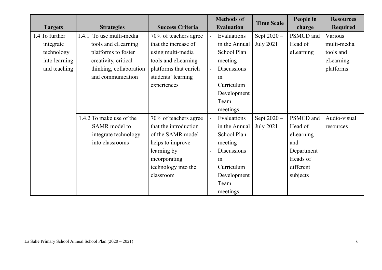| <b>Targets</b> | <b>Strategies</b>        | <b>Success Criteria</b> |                          | <b>Methods of</b><br><b>Evaluation</b> | <b>Time Scale</b> | People in<br>charge | <b>Resources</b><br><b>Required</b> |
|----------------|--------------------------|-------------------------|--------------------------|----------------------------------------|-------------------|---------------------|-------------------------------------|
|                |                          |                         |                          |                                        |                   |                     |                                     |
| 1.4 To further | 1.4.1 To use multi-media | 70% of teachers agree   | $\blacksquare$           | Evaluations                            | Sept 2020 -       | PSMCD and           | Various                             |
| integrate      | tools and eLearning      | that the increase of    |                          | in the Annual                          | <b>July 2021</b>  | Head of             | multi-media                         |
| technology     | platforms to foster      | using multi-media       |                          | School Plan                            |                   | eLearning           | tools and                           |
| into learning  | creativity, critical     | tools and eLearning     |                          | meeting                                |                   |                     | eLearning                           |
| and teaching   | thinking, collaboration  | platforms that enrich   | $\overline{\phantom{a}}$ | <b>Discussions</b>                     |                   |                     | platforms                           |
|                | and communication        | students' learning      |                          | in                                     |                   |                     |                                     |
|                |                          | experiences             |                          | Curriculum                             |                   |                     |                                     |
|                |                          |                         |                          | Development                            |                   |                     |                                     |
|                |                          |                         |                          | Team                                   |                   |                     |                                     |
|                |                          |                         |                          | meetings                               |                   |                     |                                     |
|                | 1.4.2 To make use of the | 70% of teachers agree   | $\blacksquare$           | Evaluations                            | Sept 2020 -       | PSMCD and           | Audio-visual                        |
|                | SAMR model to            | that the introduction   |                          | in the Annual                          | <b>July 2021</b>  | Head of             | resources                           |
|                | integrate technology     | of the SAMR model       |                          | School Plan                            |                   | eLearning           |                                     |
|                | into classrooms          | helps to improve        |                          | meeting                                |                   | and                 |                                     |
|                |                          | learning by             | $\overline{\phantom{a}}$ | <b>Discussions</b>                     |                   | Department          |                                     |
|                |                          | incorporating           |                          | in                                     |                   | Heads of            |                                     |
|                |                          | technology into the     |                          | Curriculum                             |                   | different           |                                     |
|                |                          | classroom               |                          | Development                            |                   | subjects            |                                     |
|                |                          |                         |                          | Team                                   |                   |                     |                                     |
|                |                          |                         |                          | meetings                               |                   |                     |                                     |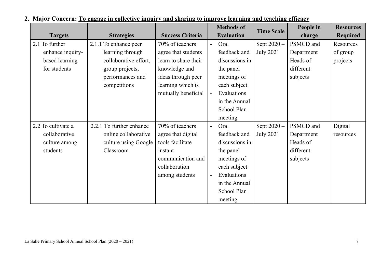|                    |                          |                         |                          | <b>Methods of</b> | <b>Time Scale</b> | People in  | <b>Resources</b> |
|--------------------|--------------------------|-------------------------|--------------------------|-------------------|-------------------|------------|------------------|
| <b>Targets</b>     | <b>Strategies</b>        | <b>Success Criteria</b> |                          | <b>Evaluation</b> |                   | charge     | <b>Required</b>  |
| 2.1 To further     | 2.1.1 To enhance peer    | 70% of teachers         | $\overline{a}$           | Oral              | Sept 2020 -       | PSMCD and  | <b>Resources</b> |
| enhance inquiry-   | learning through         | agree that students     |                          | feedback and      | <b>July 2021</b>  | Department | of group         |
| based learning     | collaborative effort,    | learn to share their    |                          | discussions in    |                   | Heads of   | projects         |
| for students       | group projects,          | knowledge and           |                          | the panel         |                   | different  |                  |
|                    | performances and         | ideas through peer      |                          | meetings of       |                   | subjects   |                  |
|                    | competitions             | learning which is       |                          | each subject      |                   |            |                  |
|                    |                          | mutually beneficial     | $\overline{\phantom{a}}$ | Evaluations       |                   |            |                  |
|                    |                          |                         |                          | in the Annual     |                   |            |                  |
|                    |                          |                         |                          | School Plan       |                   |            |                  |
|                    |                          |                         |                          | meeting           |                   |            |                  |
| 2.2 To cultivate a | 2.2.1 To further enhance | 70% of teachers         | $\overline{\phantom{a}}$ | Oral              | Sept 2020 -       | PSMCD and  | Digital          |
| collaborative      | online collaborative     | agree that digital      |                          | feedback and      | <b>July 2021</b>  | Department | resources        |
| culture among      | culture using Google     | tools facilitate        |                          | discussions in    |                   | Heads of   |                  |
| students           | Classroom                | instant                 |                          | the panel         |                   | different  |                  |
|                    |                          | communication and       |                          | meetings of       |                   | subjects   |                  |
|                    |                          | collaboration           |                          | each subject      |                   |            |                  |
|                    |                          | among students          | $\overline{\phantom{a}}$ | Evaluations       |                   |            |                  |
|                    |                          |                         |                          | in the Annual     |                   |            |                  |
|                    |                          |                         |                          | School Plan       |                   |            |                  |
|                    |                          |                         |                          | meeting           |                   |            |                  |

## **2. Major Concern: To engage in collective inquiry and sharing to improve learning and teaching efficacy**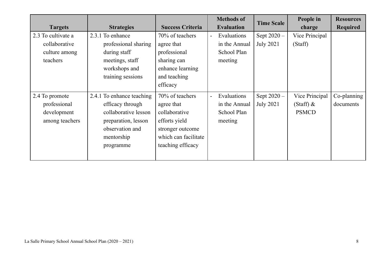|                    |                           |                         | <b>Methods of</b>                       | <b>Time Scale</b> | People in      | <b>Resources</b> |
|--------------------|---------------------------|-------------------------|-----------------------------------------|-------------------|----------------|------------------|
| <b>Targets</b>     | <b>Strategies</b>         | <b>Success Criteria</b> | <b>Evaluation</b>                       |                   | charge         | <b>Required</b>  |
| 2.3 To cultivate a | 2.3.1 To enhance          | 70% of teachers         | Evaluations<br>$\overline{\phantom{a}}$ | Sept $2020 -$     | Vice Principal |                  |
| collaborative      | professional sharing      | agree that              | in the Annual                           | <b>July 2021</b>  | (Staff)        |                  |
| culture among      | during staff              | professional            | School Plan                             |                   |                |                  |
| teachers           | meetings, staff           | sharing can             | meeting                                 |                   |                |                  |
|                    | workshops and             | enhance learning        |                                         |                   |                |                  |
|                    | training sessions         | and teaching            |                                         |                   |                |                  |
|                    |                           | efficacy                |                                         |                   |                |                  |
| 2.4 To promote     | 2.4.1 To enhance teaching | 70% of teachers         | Evaluations<br>$\overline{\phantom{a}}$ | Sept $2020 -$     | Vice Principal | Co-planning      |
| professional       | efficacy through          | agree that              | in the Annual                           | <b>July 2021</b>  | $(Staff)$ &    | documents        |
| development        | collaborative lesson      | collaborative           | School Plan                             |                   | <b>PSMCD</b>   |                  |
| among teachers     | preparation, lesson       | efforts yield           | meeting                                 |                   |                |                  |
|                    | observation and           | stronger outcome        |                                         |                   |                |                  |
|                    | mentorship                | which can facilitate    |                                         |                   |                |                  |
|                    | programme                 | teaching efficacy       |                                         |                   |                |                  |
|                    |                           |                         |                                         |                   |                |                  |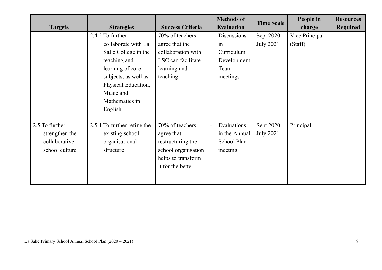| <b>Targets</b> | <b>Strategies</b>           | <b>Success Criteria</b> | <b>Methods of</b><br><b>Evaluation</b>  | <b>Time Scale</b> | People in<br>charge | <b>Resources</b><br><b>Required</b> |
|----------------|-----------------------------|-------------------------|-----------------------------------------|-------------------|---------------------|-------------------------------------|
|                | 2.4.2 To further            | 70% of teachers         | Discussions<br>$\blacksquare$           | Sept $2020 -$     | Vice Principal      |                                     |
|                | collaborate with La         | agree that the          | in                                      | <b>July 2021</b>  | (Staff)             |                                     |
|                | Salle College in the        | collaboration with      | Curriculum                              |                   |                     |                                     |
|                | teaching and                | LSC can facilitate      | Development                             |                   |                     |                                     |
|                | learning of core            | learning and            | Team                                    |                   |                     |                                     |
|                | subjects, as well as        | teaching                | meetings                                |                   |                     |                                     |
|                | Physical Education,         |                         |                                         |                   |                     |                                     |
|                | Music and                   |                         |                                         |                   |                     |                                     |
|                | Mathematics in              |                         |                                         |                   |                     |                                     |
|                | English                     |                         |                                         |                   |                     |                                     |
|                |                             |                         |                                         |                   |                     |                                     |
| 2.5 To further | 2.5.1 To further refine the | 70% of teachers         | Evaluations<br>$\overline{\phantom{a}}$ | Sept 2020 -       | Principal           |                                     |
| strengthen the | existing school             | agree that              | in the Annual                           | <b>July 2021</b>  |                     |                                     |
| collaborative  | organisational              | restructuring the       | School Plan                             |                   |                     |                                     |
| school culture | structure                   | school organisation     | meeting                                 |                   |                     |                                     |
|                |                             | helps to transform      |                                         |                   |                     |                                     |
|                |                             | it for the better       |                                         |                   |                     |                                     |
|                |                             |                         |                                         |                   |                     |                                     |
|                |                             |                         |                                         |                   |                     |                                     |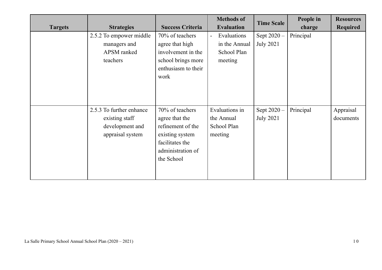| <b>Targets</b> | <b>Strategies</b>                                                                 | <b>Success Criteria</b>                                                                                                         | <b>Methods of</b><br><b>Evaluation</b>                                   | <b>Time Scale</b>                 | People in<br>charge | <b>Resources</b><br><b>Required</b> |
|----------------|-----------------------------------------------------------------------------------|---------------------------------------------------------------------------------------------------------------------------------|--------------------------------------------------------------------------|-----------------------------------|---------------------|-------------------------------------|
|                | 2.5.2 To empower middle<br>managers and<br>APSM ranked<br>teachers                | 70% of teachers<br>agree that high<br>involvement in the<br>school brings more<br>enthusiasm to their<br>work                   | Evaluations<br>$\blacksquare$<br>in the Annual<br>School Plan<br>meeting | Sept $2020 -$<br><b>July 2021</b> | Principal           |                                     |
|                | 2.5.3 To further enhance<br>existing staff<br>development and<br>appraisal system | 70% of teachers<br>agree that the<br>refinement of the<br>existing system<br>facilitates the<br>administration of<br>the School | Evaluations in<br>the Annual<br>School Plan<br>meeting                   | Sept 2020 -<br><b>July 2021</b>   | Principal           | Appraisal<br>documents              |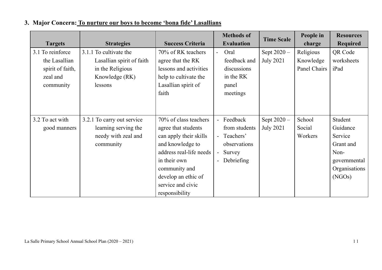| <b>Targets</b>   | <b>Strategies</b>          | <b>Success Criteria</b> |                | <b>Methods of</b><br><b>Evaluation</b> | <b>Time Scale</b> | People in<br>charge | <b>Resources</b><br><b>Required</b> |
|------------------|----------------------------|-------------------------|----------------|----------------------------------------|-------------------|---------------------|-------------------------------------|
| 3.1 To reinforce | 3.1.1 To cultivate the     | 70% of RK teachers      | $\blacksquare$ | Oral                                   | Sept $2020 -$     | Religious           | QR Code                             |
| the Lasallian    | Lasallian spirit of faith  | agree that the RK       |                | feedback and                           | <b>July 2021</b>  | Knowledge           | worksheets                          |
| spirit of faith, | in the Religious           | lessons and activities  |                | discussions                            |                   | Panel Chairs        | iPad                                |
| zeal and         | Knowledge (RK)             | help to cultivate the   |                | in the RK                              |                   |                     |                                     |
| community        | lessons                    | Lasallian spirit of     |                | panel                                  |                   |                     |                                     |
|                  |                            | faith                   |                | meetings                               |                   |                     |                                     |
|                  |                            |                         |                |                                        |                   |                     |                                     |
| 3.2 To act with  | 3.2.1 To carry out service | 70% of class teachers   |                | - Feedback                             | Sept 2020 -       | School              | Student                             |
| good manners     | learning serving the       | agree that students     |                | from students                          | <b>July 2021</b>  | Social              | Guidance                            |
|                  | needy with zeal and        | can apply their skills  |                | - Teachers'                            |                   | Workers             | Service                             |
|                  | community                  | and knowledge to        |                | observations                           |                   |                     | Grant and                           |
|                  |                            | address real-life needs | $\overline{a}$ | Survey                                 |                   |                     | Non-                                |
|                  |                            | in their own            |                | - Debriefing                           |                   |                     | governmental                        |
|                  |                            | community and           |                |                                        |                   |                     | Organisations                       |
|                  |                            | develop an ethic of     |                |                                        |                   |                     | (NGOs)                              |
|                  |                            | service and civic       |                |                                        |                   |                     |                                     |
|                  |                            | responsibility          |                |                                        |                   |                     |                                     |

### **3. Major Concern: To nurture our boys to become 'bona fide' Lasallians**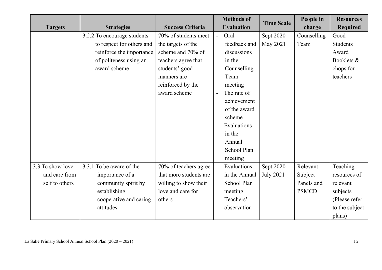|                  |                             |                         |                | <b>Methods of</b> | <b>Time Scale</b> | People in    | <b>Resources</b> |
|------------------|-----------------------------|-------------------------|----------------|-------------------|-------------------|--------------|------------------|
| <b>Targets</b>   | <b>Strategies</b>           | <b>Success Criteria</b> |                | <b>Evaluation</b> |                   | charge       | <b>Required</b>  |
|                  | 3.2.2 To encourage students | 70% of students meet    | $\blacksquare$ | Oral              | Sept 2020 -       | Counselling  | Good             |
|                  | to respect for others and   | the targets of the      |                | feedback and      | May 2021          | Team         | Students         |
|                  | reinforce the importance    | scheme and 70% of       |                | discussions       |                   |              | Award            |
|                  | of politeness using an      | teachers agree that     |                | in the            |                   |              | Booklets &       |
|                  | award scheme                | students' good          |                | Counselling       |                   |              | chops for        |
|                  |                             | manners are             |                | Team              |                   |              | teachers         |
|                  |                             | reinforced by the       |                | meeting           |                   |              |                  |
|                  |                             | award scheme            |                | The rate of       |                   |              |                  |
|                  |                             |                         |                | achievement       |                   |              |                  |
|                  |                             |                         |                | of the award      |                   |              |                  |
|                  |                             |                         |                | scheme            |                   |              |                  |
|                  |                             |                         |                | Evaluations       |                   |              |                  |
|                  |                             |                         |                | in the            |                   |              |                  |
|                  |                             |                         |                | Annual            |                   |              |                  |
|                  |                             |                         |                | School Plan       |                   |              |                  |
|                  |                             |                         |                | meeting           |                   |              |                  |
| 3.3 To show love | 3.3.1 To be aware of the    | 70% of teachers agree   |                | Evaluations       | Sept 2020-        | Relevant     | Teaching         |
| and care from    | importance of a             | that more students are  |                | in the Annual     | <b>July 2021</b>  | Subject      | resources of     |
| self to others   | community spirit by         | willing to show their   |                | School Plan       |                   | Panels and   | relevant         |
|                  | establishing                | love and care for       |                | meeting           |                   | <b>PSMCD</b> | subjects         |
|                  | cooperative and caring      | others                  |                | Teachers'         |                   |              | (Please refer    |
|                  | attitudes                   |                         |                | observation       |                   |              | to the subject   |
|                  |                             |                         |                |                   |                   |              | plans)           |